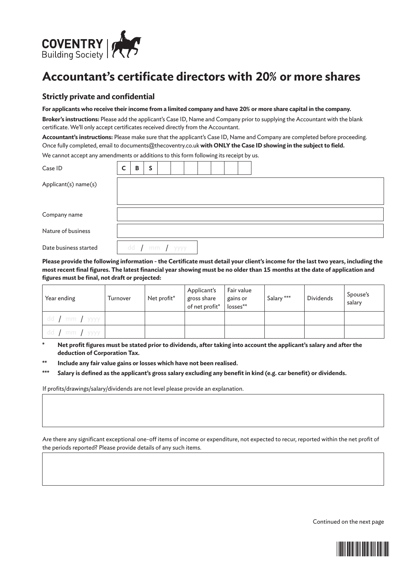

## **Accountant's certificate directors with 20% or more shares**

## **Strictly private and confidential**

## **For applicants who receive their income from a limited company and have 20% or more share capital in the company.**

**Broker's instructions:** Please add the applicant's Case ID, Name and Company prior to supplying the Accountant with the blank certificate. We'll only accept certificates received directly from the Accountant.

**Accountant's instructions:** Please make sure that the applicant's Case ID, Name and Company are completed before proceeding. Once fully completed, email to documents@thecoventry.co.uk **with ONLY the Case ID showing in the subject to field.** We cannot accept any amendments or additions to this form following its receipt by us.

| Case ID               | $\mathsf{C}$ | B | S |                          |  |  |  |  |
|-----------------------|--------------|---|---|--------------------------|--|--|--|--|
| Applicant(s) name(s)  |              |   |   |                          |  |  |  |  |
|                       |              |   |   |                          |  |  |  |  |
| Company name          |              |   |   |                          |  |  |  |  |
| Nature of business    |              |   |   |                          |  |  |  |  |
| Date business started |              |   |   | dd $\int$ mm $\int$ yyyy |  |  |  |  |

**Please provide the following information - the Certificate must detail your client's income for the last two years, including the most recent final figures. The latest financial year showing must be no older than 15 months at the date of application and figures must be final, not draft or projected:**

| Year ending                | Turnover | Net profit* | Applicant's<br>gross share<br>of net profit*   losses** | Fair value<br>gains or | Salary *** | <b>Dividends</b> | Spouse's<br>salary |
|----------------------------|----------|-------------|---------------------------------------------------------|------------------------|------------|------------------|--------------------|
| dd $\int$ mm $\int$ yyyy l |          |             |                                                         |                        |            |                  |                    |
| dd / mm / yyyy             |          |             |                                                         |                        |            |                  |                    |

Net profit figures must be stated prior to dividends, after taking into account the applicant's salary and after the **deduction of Corporation Tax.**

**\*\* Include any fair value gains or losses which have not been realised.**

**\*\*\* Salary is defined as the applicant's gross salary excluding any benefit in kind (e.g. car benefit) or dividends.**

If profits/drawings/salary/dividends are not level please provide an explanation.

Are there any significant exceptional one-off items of income or expenditure, not expected to recur, reported within the net profit of the periods reported? Please provide details of any such items.

Continued on the next page